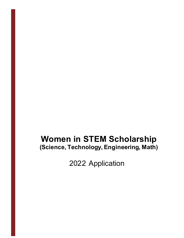# **Women in STEM Scholarship (Science, Technology, Engineering, Math)**

2022 Application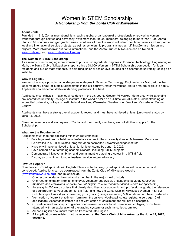### Women in STEM Scholarship *A Scholarship from the Zonta Club of Milwaukee*

#### **About Zonta**

Founded in 1919, Zonta International is a leading global organization of prof essionals empowering women worldwide through service and advocacy. With more than 30,000 members belonging to more than 1,200 Zonta Clubs in 67 countries and geographic areas, Zontians all over the world volunteer their time, talents and support to local and international service projects, as well as scholarship programs aimed at fulfilling Zonta's mission and objects. More information about Zonta International and the Zonta Club o f Milwaukee can be found at www.zonta.org and www.zontamilwaukee.org

#### **The Women in STEM Scholarship**

As a means of encouraging more women to pursue undergraduate degrees in S cience, Technology, Engineering or Math, the Zonta Club of Milwaukee is sponsoring a \$1,000 Women in STEM Scholarship competition for local residents and out-of -state students, to help fund junior or senior level studies at an accredited university, colleg e or institute.

#### **Who Is Eligible?**

Women of any age pursuing an undergraduate degree in Science, Technology, Engineering or Math, with either legal residency or out-of -state student status in the six-county Greater Milwaukee Metro area are eligible to apply. Applicants should demonstrate outstanding potential in the field.

Applicants must either: (1) have legal residency in the six -county Greater Milwaukee Metro area while attending any accredited university, college or institute in the world or (2) be a full-time, out-of-state student attending an accredited university, college or institute in Milwaukee, Waukesha, Washington, Ozaukee, Kenosha or Racine County.

Applicants must have a strong overall academic record, and must have achieved at least junior-level status by June 15, 2022.

Classified members and employees of Zonta, and their family members, are not eligible to apply for the Scholarship.

#### **What are the Requirements?**

Applicants must meet the following minimum requirements:

- ❑ Be a legal resident or full-time out-of -state student in the six-county Greater Milwaukee Metro area.
- ❑ Be enrolled in a STEM-related program at an accredited university/college/institute.
- ❑ Have or will have achieved at least junior-level status by June 15, 2022.
- ❑ Have earned an outstanding academic record, including STEM subjects.
- ❑ Demonstrate initiative, ambition and commitment to pursuing a career in a STEM field.
- ❑ Display a commitment to volunteerism, service and/or advocacy.

#### **How Do I Apply?**

Complete an official application in English. Please note that only typed applications will be accepted and considered. Applications can be downloaded from the Zonta Club of Milwaukee website (www.zontamilwaukee.org) and must include:

- 1. One recommendation from a faculty member in the major field of study.
- 2. One recommendation from an employer, volunteer supervisor, or academic advisor. *(Classified members and employees of Zonta are not eligible to write recommendation letters for applicants.)*
- 3. An essay in 500 words or less that clearly describes your academic and professional goals, the relevance of your program to your chosen STEM f ield, and how the Zonta Club of Milwaukee Women in STEM Scholarship will assist you in reaching your goals. (Essays exceeding 500 words will not be considered.)
- 4. Verification of current enrollment form from the university/college/institute registrar (see page 10 of application). Acceptance letters are not verification of enrollment and will not be accepted.
- 5. Official detailed transcripts of grades or equivalent records for all universities, colleges, or institutes attended, with an explanation of the grading system for each transcript submitted.
- 6. All non-English documents must be translated into English.
- **7. All application materials must be received at the Zonta Club of Milwaukee by the June 15, 2022, deadline.**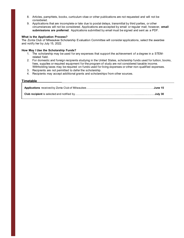- 8. Articles, pamphlets, books, curriculum vitae or other publications are not requested and will not be considered.
- 9. Applications that are incomplete or late due to postal delays, transmittal by third parties, or other circumstances will not be considered. Applications are accepted by email or regular mail; however, **email submissions are preferred**. Applications submitted by email must be signed and sent as a PDF.

#### **What is the Application Process?**

The Zonta Club of Milwaukee Scholarship Evaluation Committee will consider applications, select the awardee and notify her by July 15, 2022.

#### **How May I Use the Scholarship Funds?**

- 1. The scholarship may be used for any expenses that support the achievement of a degree in a STEMrelated field.
- 2. For domestic and foreign recipients studying in the United States, scholarship funds used for tuition, books, fees, supplies or required equipment for the program of study are not considered taxable income. Withholding taxes may be required on funds used for living expenses or other non-qualified expenses.
- 3. Recipients are not permitted to defer the scholarship.
- 4. Recipients may accept additional grants and scholarships from other sources.

#### **Timetable**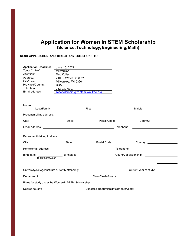### **Application for Women in STEM Scholarship (Science, Technology, Engineering,Math)**

#### **SEND APPLICATION AND DIRECT ANY QUESTIONS TO:**

| <b>Application Deadline:</b><br>Zonta Club of:<br>Attention:<br>Address:<br>City/State:<br>Province/Country:<br>Telephone:<br>Email address: | Milwaukee<br>Deb Koller<br>210 S. Water St. #521<br>Milwaukee, WI 53204<br><b>USA</b><br><u> 1989 - Andrea State Barbara, política e a contra de la contra de la contra de la contra de la contra de la c</u><br>262-930-0907<br>zcscholarship@zontamilwaukee.org |  |                                                                                                                 |  |
|----------------------------------------------------------------------------------------------------------------------------------------------|-------------------------------------------------------------------------------------------------------------------------------------------------------------------------------------------------------------------------------------------------------------------|--|-----------------------------------------------------------------------------------------------------------------|--|
|                                                                                                                                              | Name: Last (Family) First                                                                                                                                                                                                                                         |  | Middle                                                                                                          |  |
|                                                                                                                                              |                                                                                                                                                                                                                                                                   |  |                                                                                                                 |  |
|                                                                                                                                              |                                                                                                                                                                                                                                                                   |  |                                                                                                                 |  |
|                                                                                                                                              |                                                                                                                                                                                                                                                                   |  | City: ___________________________State: ____________________Postal Code: _________________Country: ____________ |  |
|                                                                                                                                              |                                                                                                                                                                                                                                                                   |  |                                                                                                                 |  |
|                                                                                                                                              |                                                                                                                                                                                                                                                                   |  |                                                                                                                 |  |
|                                                                                                                                              |                                                                                                                                                                                                                                                                   |  |                                                                                                                 |  |
|                                                                                                                                              |                                                                                                                                                                                                                                                                   |  |                                                                                                                 |  |
|                                                                                                                                              |                                                                                                                                                                                                                                                                   |  |                                                                                                                 |  |
|                                                                                                                                              |                                                                                                                                                                                                                                                                   |  |                                                                                                                 |  |
|                                                                                                                                              |                                                                                                                                                                                                                                                                   |  |                                                                                                                 |  |
|                                                                                                                                              |                                                                                                                                                                                                                                                                   |  | Plans for study under the Women in STEM Scholarship: ___________________________                                |  |
|                                                                                                                                              |                                                                                                                                                                                                                                                                   |  |                                                                                                                 |  |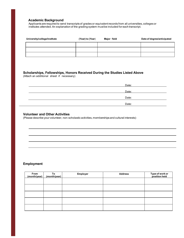#### **Academic Background**

Applicants are required to send transcripts of grades or equivalent records from all universities, colleges or institutes attended. An explanation of the grading system must be included for each transcript.

| University/college/institute | (Year) to (Year) | Major field | Date of degree/anticipated |
|------------------------------|------------------|-------------|----------------------------|
|                              |                  |             |                            |
|                              |                  |             |                            |
|                              |                  |             |                            |

#### **Scholarships, Fellowships, Honors Received During the Studies Listed Above** (Attach an additional sheet if necessary)

| Date: |
|-------|
|       |
| Date: |
| Date: |
| Date: |

#### **Volunteer and Other Activities**

(Please describe your volunteer, non-scholastic activities, memberships and cultural interests):

### **Employment**

| From<br>(month/year) $ $ | To<br>(month/year) | Employer | <b>Address</b> | Type of work or<br>position held |
|--------------------------|--------------------|----------|----------------|----------------------------------|
|                          |                    |          |                |                                  |
|                          |                    |          |                |                                  |
|                          |                    |          |                |                                  |
|                          |                    |          |                |                                  |
|                          |                    |          |                |                                  |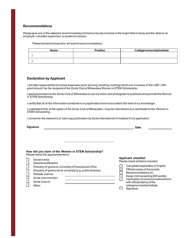#### **Recommendations**

Please give one of the attached recommendation forms to a faculty member in the major field of study and the other to an employer, volunteer supervisor, or academic advisor.

Please list below those who will submit recommendations:

| Name     | <b>Position</b> | College/university/institute |
|----------|-----------------|------------------------------|
| . .      |                 |                              |
| <u>.</u> |                 |                              |

#### **Declaration by Applicant**

I will take responsibility for school expenses (such as living, traveling, clothing) which are in excess of the US\$ 1,000 grant should I be the recipient of the Zonta Club of Milwaukee Women in STEM Scholarship.

I grant permission to the Zonta Club of Milwaukee to use my name and photograph to publicize and promote the Women in STEM Scholarship.

I certify that all of the information contained in my application form is accurate to the best of my knowledge.

I understand that, at the option of the Zonta Club of Milwaukee, I may be interviewed as a candidate for the Women in STEM Scholarship.

I consent to the electronic or hard copy publication by Zonta International of material in my application.

| <b>Signature</b>                                              | <b>Date</b>                             |
|---------------------------------------------------------------|-----------------------------------------|
| How did you learn of the Women in STEM Scholarship?           | <b>Applicant checklist</b>              |
| Please check the appropriate items:                           | Please check all items included:        |
| Social media                                                  | Completed application in English        |
| Department/teacher                                            | Official copies of transcripts          |
| Directory of grants at university of financial aid office     | Recommendations (2)                     |
| Directory of grants not at university (e.g. public libraries) | Essay (not exceeding 500 words)         |
| Website (name):                                               | Verification of current enrollment form |
| Zonta club member:                                            | with official stamp of the              |
| Zonta Club of:                                                | college/university/institute            |
| Other:                                                        | Signature                               |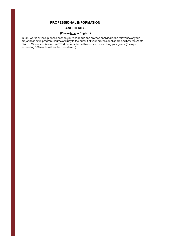#### **PROFESSIONAL INFORMATION**

#### **AND GOALS**

#### **(Please type in English.)**

In 500 words or less, please describe your academic and professional goals, the relevance of your major/academic program/course of study to the pursuit of your professional goals, and how the Zonta Club of Milwaukee Women in STEM Scholarship will assist you in reaching your goals. (Essays exceeding 500 words will not be considered.)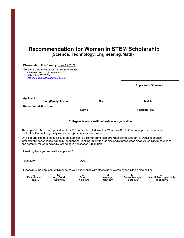### **Recommendation for Women in STEM Scholarship (Science, Technology, Engineering,Math)**

|                                   | Please return this form by: June 15, 2022                                                                                  |                                                    |                                 |                                                                                                                                                                                                                                                         |                                             |
|-----------------------------------|----------------------------------------------------------------------------------------------------------------------------|----------------------------------------------------|---------------------------------|---------------------------------------------------------------------------------------------------------------------------------------------------------------------------------------------------------------------------------------------------------|---------------------------------------------|
| Milwaukee, WI 53204               | To: Zonta Club of Milwaukee - STEM Scholarship<br>c/o Deb Koller 210 S. Water St. #521<br>zcscholarship@zontamilwaukee.org |                                                    |                                 |                                                                                                                                                                                                                                                         |                                             |
|                                   |                                                                                                                            |                                                    |                                 |                                                                                                                                                                                                                                                         | <b>Applicant's Signature</b>                |
| <b>Applicant:</b>                 |                                                                                                                            |                                                    |                                 |                                                                                                                                                                                                                                                         |                                             |
|                                   | Last (Family) Name                                                                                                         |                                                    | <b>First</b>                    |                                                                                                                                                                                                                                                         | <b>Middle</b>                               |
| <b>Recommendation from:</b>       |                                                                                                                            | <b>Name</b>                                        |                                 | <b>Position/Title</b>                                                                                                                                                                                                                                   |                                             |
|                                   |                                                                                                                            | College/university/institute/business/organization |                                 |                                                                                                                                                                                                                                                         |                                             |
|                                   | Evaluation Committee greatly values and appreciates your opinion.                                                          |                                                    |                                 | The applicant above has applied for the 2017 Zonta Club of Milwaukee Women in STEM Scholarship. The Scholarship                                                                                                                                         |                                             |
|                                   | and potential for learning and succeeding in her chosen STEM field.                                                        |                                                    |                                 | On a separate page, please discuss the applicant's accomplishments; current academic program or work experience;<br>intellectual independence; capacity for analytical thinking; ability to organize and express ideas clearly; creativity; motivation; |                                             |
|                                   | How long have you known the applicant?                                                                                     |                                                    |                                 |                                                                                                                                                                                                                                                         |                                             |
| Signature:                        |                                                                                                                            | Date:                                              |                                 |                                                                                                                                                                                                                                                         |                                             |
|                                   |                                                                                                                            |                                                    |                                 | Please rate the applicant with respect to your experience with other students/employees in this field/position:                                                                                                                                         |                                             |
| П<br><b>Exceptional</b><br>Top 5% | $\Box$<br><b>Very Good</b><br><b>Next 10%</b>                                                                              | $\Box$<br>Good<br><b>Next 15%</b>                  | □<br>Average<br><b>Next 30%</b> | □<br><b>Below Average</b><br>Last $40%$                                                                                                                                                                                                                 | □<br>Insufficient opportunity<br>to observe |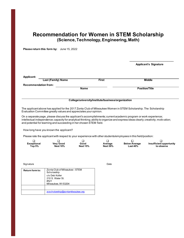### **Recommendation for Women in STEM Scholarship (Science, Technology, Engineering,Math)**

**Please return this form by:** June 15, 2022

|                             |                           |                                                    | <b>Applicant's Signature</b> |
|-----------------------------|---------------------------|----------------------------------------------------|------------------------------|
|                             |                           |                                                    |                              |
| <b>Applicant:</b>           |                           |                                                    |                              |
|                             | <b>Last (Family) Name</b> | <b>First</b>                                       | <b>Middle</b>                |
| <b>Recommendation from:</b> |                           |                                                    |                              |
|                             |                           | <b>Name</b>                                        | <b>Position/Title</b>        |
|                             |                           |                                                    |                              |
|                             |                           |                                                    |                              |
|                             |                           | College/university/institute/business/organization |                              |

\_\_\_\_\_\_\_\_\_\_\_\_\_\_\_\_\_\_\_\_\_\_

The applicant above has applied for the 2017 Zonta Club of Milwaukee Women in STEM Scholarship. The Scholarship Evaluation Committee greatly values and appreciates your opinion.

On a separate page, please discuss the applicant's accomplishments; current academic program or work experience; intellectual independence; capacity for analytical thinking; ability to organize and express ideas clearly; creativity; motiv ation; and potential for learning and succeeding in her chosen STEM field.

How long have you known the applicant?

Please rate the applicant with respect to your experience with other students/employees in this field/position:

| <b>Exceptional</b> | Verv Good       | Good            | Average         | <b>Below Average</b> | Insufficient opportunity |
|--------------------|-----------------|-----------------|-----------------|----------------------|--------------------------|
| Top 5%             | <b>Next 10%</b> | <b>Next 15%</b> | <b>Next 30%</b> | <b>Last 40%</b>      | to observe               |

Signature Date Date of the Date of the Date of the Date of the Date of the Date of the Date of the Date of the Date of the Date of the Date of the Date of the Date of the Date of the Date of the Date of the Date of the Dat

| Return form to: | Zonta Club of Milwaukee - STEM<br>Scholarship<br>c/o Deb Koller<br>210 S. Water St.<br>#521<br>Milwaukee, WI 53204 |
|-----------------|--------------------------------------------------------------------------------------------------------------------|
|                 |                                                                                                                    |
|                 | zcscholarship@zontamilwaukee.org                                                                                   |